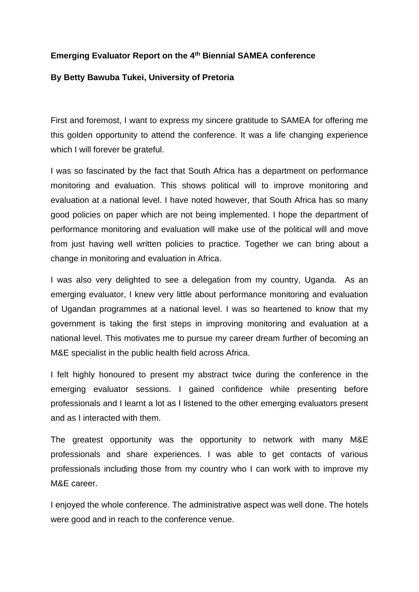## **Emerging Evaluator Report on the 4th Biennial SAMEA conference**

## **By Betty Bawuba Tukei, University of Pretoria**

First and foremost, I want to express my sincere gratitude to SAMEA for offering me this golden opportunity to attend the conference. It was a life changing experience which I will forever be grateful.

I was so fascinated by the fact that South Africa has a department on performance monitoring and evaluation. This shows political will to improve monitoring and evaluation at a national level. I have noted however, that South Africa has so many good policies on paper which are not being implemented. I hope the department of performance monitoring and evaluation will make use of the political will and move from just having well written policies to practice. Together we can bring about a change in monitoring and evaluation in Africa.

I was also very delighted to see a delegation from my country, Uganda. As an emerging evaluator, I knew very little about performance monitoring and evaluation of Ugandan programmes at a national level. I was so heartened to know that my government is taking the first steps in improving monitoring and evaluation at a national level. This motivates me to pursue my career dream further of becoming an M&E specialist in the public health field across Africa.

I felt highly honoured to present my abstract twice during the conference in the emerging evaluator sessions. I gained confidence while presenting before professionals and I learnt a lot as I listened to the other emerging evaluators present and as I interacted with them.

The greatest opportunity was the opportunity to network with many M&E professionals and share experiences. I was able to get contacts of various professionals including those from my country who I can work with to improve my M&E career.

I enjoyed the whole conference. The administrative aspect was well done. The hotels were good and in reach to the conference venue.